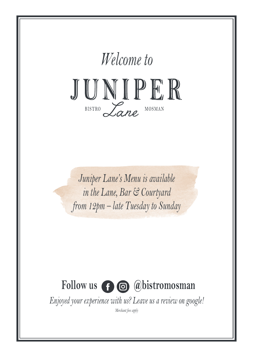

### Follow us  $\bigoplus$  @bistromosman

*Enjoyed your experience with us? Leave us a review on google!*

*Merchant fees apply*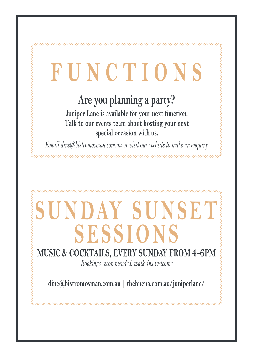# **FUNCTIONS**

### **Are you planning a party?**

~

**Juniper Lane is available for your next function. Talk to our events team about hosting your next special occasion with us.** 

*Email dine@bistromosman.com.au or visit our website to make an enquiry.*

# **SUNDAY SUNSET SESSIONS**

### **MUSIC & COCKTAILS, EVERY SUNDAY FROM 4-6PM**

*Bookings recommended, walk-ins welcome*

**dine@bistromosman.com.au | thebuena.com.au/juniperlane/**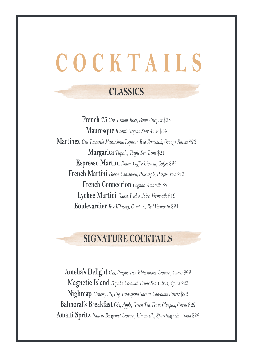# **COCKTAILS**

### **CLASSICS**

**French 75** *Gin, Lemon Juice, Veuve Clicquot* \$28 **Mauresque** *Ricard, Orgeat, Star Anise* \$14 **Martinez** *Gin, Luxardo Maraschino Liqueur, Red Vermouth, Orange Bitters* \$23 **Margarita** *Tequila, Triple Sec, Lime* \$21 **Espresso Martini** *Vodka, Coffee Liqueur, Coffee* \$22 **French Martini** *Vodka, Chambord, Pineapple, Raspberries* \$22 **French Connection** *Cognac, Amaretto* \$21 **Lychee Martini** *Vodka, Lychee Juice, Vermouth* \$19 **Boulevardier** *Rye Whiskey, Campari, Red Vermouth* \$21

### **SIGNATURE COCKTAILS**

**Amelia's Delight** *Gin, Raspberries, Elderflower Liqueur, Citrus* \$22 **Magnetic Island** *Tequila, Coconut, Triple Sec, Citrus, Agave* \$22 **Nightcap** *Henessy VS, Fig, Valdespino Sherry, Chocolate Bitters* \$22 **Balmoral's Breakfast** *Gin, Apple, Green Tea, Veuve Clicquot, Citrus* \$22 **Amalfi Spritz** *Italicus Bergamot Liqueur, Limoncello, Sparkling wine, Soda* \$22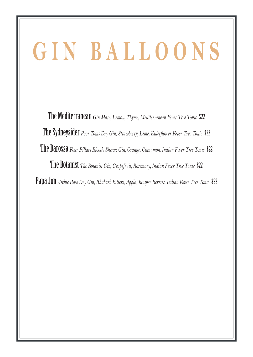# **GIN BALLOONS**

The Mediterranean *Gin Mare, Lemon, Thyme, Mediterranean Fever Tree Tonic* \$22 The Sydneysider *Poor Toms Dry Gin, Strawberry, Lime, Elderflower Fever Tree Tonic* \$22 The Barossa Four Pillars Bloody Shiraz Gin, Orange, Cinnamon, Indian Fever Tree Tonic \$22 The Botanist *The Botanist Gin, Grapefruit, Rosemary, Indian Fever Tree Tonic* \$22 Papa Jon Archie Rose Dry Gin, Rhubarb Bitters, Apple, Juniper Berries, Indian Fever Tree Tonic \$22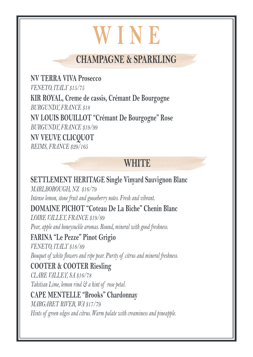### **WINE**

### **CHAMPAGNE & SPARKLING**

**NV TERRA VIVA Prosecco** *VENETO, ITALY \$15/75* **KIR ROYAL, Creme de cassis, Crémant De Bourgogne** *BURGUNDY, FRANCE \$18* **NV LOUIS BOUILLOT "Crémant De Bourgogne" Rose** *BURGUNDY, FRANCE \$19/99*

**NV VEUVE CLICQUOT** *REIMS, FRANCE \$29/165*

### **WHITE**

**SETTLEMENT HERITAGE Single Vinyard Sauvignon Blanc** *MARLBOROUGH, NZ \$16/79 Intense lemon, stone fruit and gooseberry notes. Fresh and vibrant.* **DOMAINE PICHOT "Coteau De La Biche" Chenin Blanc** *LOIRE VALLEY, FRANCE \$19/89 Pear, apple and honeysuckle aromas. Round, mineral with good freshness.* **FARINA "Le Pezze" Pinot Grigio** *VENETO, ITALY \$18/89 Bouquet of white flowers and ripe pear. Purity of citrus and mineral freshness.* **COOTER & COOTER Riesling** *CLARE VALLEY, SA \$16/78 Tahitian Lime, lemon rind & a hint of rose petal.* **CAPE MENTELLE "Brooks" Chardonnay** *MARGARET RIVER, WA \$17/79 Hints of green edges and citrus. Warm palate with creaminess and pineapple.*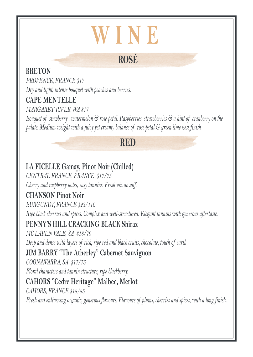### **WINE**

### **ROSÉ**

#### **BRETON**

*PROVENCE, FRANCE \$17 Dry and light, intense bouquet with peaches and berries.* 

### **CAPE MENTELLE**

*MARGARET RIVER, WA \$17*

*Bouquet of strwberry , watermelon & rose petal. Raspberries, strawberries & a hint of cranberry on the palate. Medium weight with a juicy yet creamy balance of rose petal & green lime zest finish*

### **RED**

### **LA FICELLE Gamay, Pinot Noir (Chilled)**

*CENTRAL FRANCE, FRANCE \$17/75 Cherry and raspberry notes, easy tannins. Fresh vin de soif.*

#### **CHANSON Pinot Noir**

*BURGUNDY, FRANCE \$23/110 Ripe black cherries and spices. Complex and well-structured. Elegant tannins with generous aftertaste.*

#### **PENNY'S HILL CRACKING BLACK Shiraz**

*MC LAREN VALE, SA \$18/79 Deep and dense with layers of rich, ripe red and black cruits, chocolate, touch of earth.*

#### **JIM BARRY "The Atherley" Cabernet Sauvignon**

*COONAWARRA, SA \$17/75*

*Floral characters and tannin structure, ripe blackberry.*

### **CAHORS ''Cedre Heritage'' Malbec, Merlot**

*CAHORS, FRANCE \$18/85*

*Fresh and enlivening organic, generous flavours. Flavours of plums, cherries and spices, with a long finish.*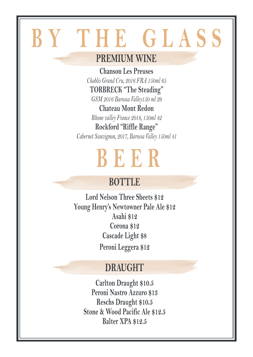## **BY THE GLASS**

### **PREMIUM WINE**

**Chanson Les Preuses**  *Chablis Grand Cru, 2016 FRA 150ml 65*  **TORBRECK "The Steading"**  *GSM 2016 Barossa Valley150 ml 29* **Chateau Mont Redon** *Rhone valley France 2018, 150ml 42*  **Rockford "Riffle Range"** *Cabernet Sauvignon, 2017, Barossa Valley 150ml 41* 

## **BEER**

### **BOTTLE**

**Lord Nelson Three Sheets \$12 Young Henry's Newtowner Pale Ale \$12 Asahi \$12 Corona \$12 Cascade Light \$8 Peroni Leggera \$12**

### **DRAUGHT**

**Carlton Draught \$10.5 Peroni Nastro Azzuro \$13 Reschs Draught \$10.5 Stone & Wood Pacific Ale \$12.5 Balter XPA \$12.5**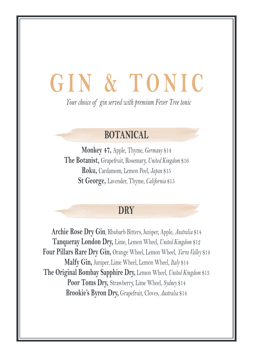## **GIN & TONIC**

*Your choice of gin served with premium Fever Tree tonic*

### **BOTANICAL**

**Monkey 47,** Apple, Thyme, *Germany* \$14 **The Botanist,** Grapefruit, Rosemary, *United Kingdom* \$16 **Roku,** Cardamom, Lemon Peel, *Japan* \$15 **St George,** Lavender, Thyme, *California* \$15

#### **DRY**

**Archie Rose Dry Gin**, Rhubarb Bitters, Juniper, Apple, *Australia* \$14 **Tanqueray London Dry,** Lime, Lemon Wheel, *United Kingdom* \$12 **Four Pillars Rare Dry Gin,** Orange Wheel, Lemon Wheel, *Yarra Valley* \$14 **Malfy Gin,** Juniper, Lime Wheel, Lemon Wheel, *Italy* \$14 **The Original Bombay Sapphire Dry,** Lemon Wheel, *United Kingdom* \$13 **Poor Toms Dry,** Strawberry, Lime Wheel, *Sydney* \$14 **Brookie's Byron Dry,** Grapefruit, Cloves, *Australia* \$14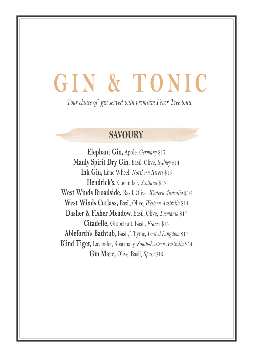## **GIN & TONIC**

*Your choice of gin served with premium Fever Tree tonic*

#### **SAVOURY**

**Elephant Gin,** Apple, *Germany* \$17 **Manly Spirit Dry Gin,** Basil, Olive, *Sydney* \$14 **Ink Gin,** Lime Wheel, *Northern Rivers* \$15 **Hendrick's,** Cucumber, *Scotland* \$15 **West Winds Broadside,** Basil, Olive, *Western Australia* \$16 **West Winds Cutlass,** Basil, Olive, *Western Australia* \$14 **Dasher & Fisher Meadow,** Basil, Olive, *Tasmania* \$17 **Citadelle,** Grapefruit, Basil, *France* \$14 **Ableforth's Bathtub,** Basil, Thyme, *United Kingdom* \$17 **Blind Tiger,** Lavender, Rosemary, *South-Eastern Australia* \$14 **Gin Mare,** Olive, Basil, *Spain* \$15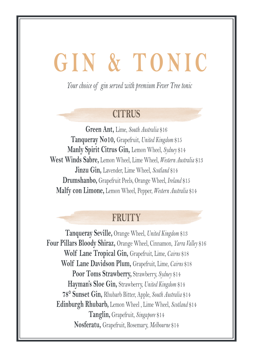## **GIN & TONIC**

*Your choice of gin served with premium Fever Tree tonic*

#### **CITRUS**

**Green Ant,** Lime, *South Australia* \$16 **Tanqueray No10,** Grapefruit, *United Kingdom* \$15 **Manly Spirit Citrus Gin,** Lemon Wheel, *Sydney* \$14 **West Winds Sabre,** Lemon Wheel, Lime Wheel, *Western Australia* \$13 **Jinzu Gin,** Lavender, Lime Wheel, *Scotland* \$14 **Drumshanbo,** Grapefruit Peels, Orange Wheel*, Ireland* \$15 **Malfy con Limone,** Lemon Wheel, Pepper, *Western Australia* \$14

#### **FRUITY**

**Tanqueray Seville,** Orange Wheel, *United Kingdom* \$13 **Four Pillars Bloody Shiraz,** Orange Wheel, Cinnamon, *Yarra Valley* \$16 **Wolf Lane Tropical Gin,** Grapefruit, Lime, *Cairns* \$18 **Wolf Lane Davidson Plum,** Grapefruit, Lime, *Cairns* \$18 **Poor Toms Strawberry,** Strawberry, *Sydney* \$14 **Hayman's Sloe Gin,** Strawberry, *United Kingdom* \$14 **78° Sunset Gin,** Rhubarb Bitter, Apple, *South Australia* \$14 **Edinburgh Rhubarb,** Lemon Wheel , Lime Wheel, *Scotland* \$14 **Tanglin,** Grapefruit, *Singapore* \$14 **Nosferatu,** Grapefruit, Rosemary, *Melbourne* \$14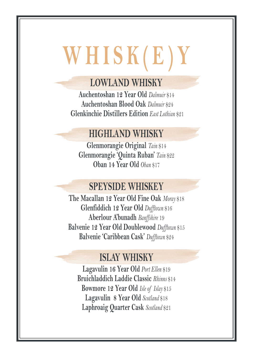# **WHISK(E)Y**

### **LOWLAND WHISKY**

**Auchentoshan 12 Year Old** *Dalmuir* \$14  **Auchentoshan Blood Oak** *Dalmuir* \$24  **Glenkinchie Distillers Edition** *East Lothian* \$21

### **HIGHLAND WHISKY**

**Glenmorangie Original** *Tain* \$14 **Glenmorangie 'Quinta Ruban'** *Tain* \$22 **Oban 14 Year Old** *Oban* \$17

### **SPEYSIDE WHISKEY**

**The Macallan 12 Year Old Fine Oak** *Moray* \$18 **Glenfiddich 12 Year Old** *Dufftown* \$16 **Aberlour A'bunadh** *Banffshire* 19 **Balvenie 12 Year Old Doublewood** *Dufftown* \$15 **Balvenie 'Caribbean Cask'** *Dufftown* \$24

### **ISLAY WHISKY**

**Lagavulin 16 Year Old** *Port Ellen* \$19 **Bruichladdich Laddie Classic** *Rhinns* \$14 **Bowmore 12 Year Old** *Isle of Islay* \$15 **Lagavulin 8 Year Old** *Scotland* \$18 **Laphroaig Quarter Cask** *Scotland* \$21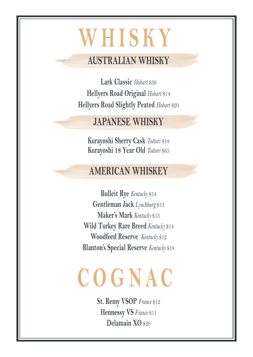### **WHISKY**

### **AUSTRALIAN WHISKY**

**Lark Classic** *Hobart* \$36 **Hellyers Road Original** *Hobart* \$14 **Hellyers Road Slightly Peated** *Hobart* \$20

### **JAPANESE WHISKY**

**Kurayoshi Sherry Cask** *Tottori* \$18 **Kurayoshi 18 Year Old** *Tottori* \$65

### **AMERICAN WHISKEY**

**Bulleit Rye** *Kentucky* \$14 **Gentleman Jack** *Lynchburg* \$13 **Maker's Mark** *Kentucky* \$13 **Wild Turkey Rare Breed** *Kentucky* \$14 **Woodford Reserve** *Kentucky* \$12 **Blanton's Special Reserve** *Kentucky* \$18

# **COGNAC**

**St. Remy VSOP** *France* \$12 **Hennessy VS** *France* \$11 **Delamain XO** \$20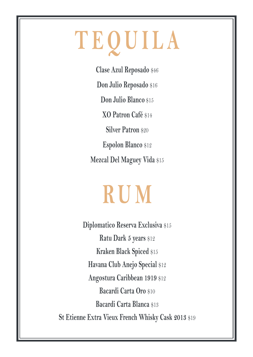# **TEQUILA**

**Clase Azul Reposado** \$46 **Don Julio Reposado** \$16 **Don Julio Blanco** \$15 **XO Patron Café** \$14 **Silver Patron \$20 Espolon Blanco** \$12 **Mezcal Del Maguey Vida** \$15

### **RUM**

**Diplomatico Reserva Exclusiva** \$15 **Ratu Dark 5 years** \$12 **Kraken Black Spiced** \$15 **Havana Club Anejo Special** \$12 **Angostura Caribbean 1919** \$12 **Bacardi Carta Oro** \$10 **Bacardi Carta Blanca** \$13 **St Etienne Extra Vieux French Whisky Cask 2013** \$19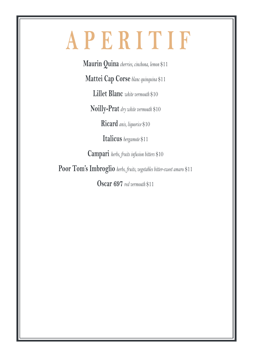### **APERITIF**

**Maurin Quina** *cherries, cinchona, lemon* \$11

**Mattei Cap Corse** *blanc quinquina* \$11

**Lillet Blanc** *white vermouth* \$10

**Noilly-Prat** *dry white vermouth* \$10

**Ricard** *anis, liquorice* \$10

**Italicus** *bergamote* \$11

**Campari** *herbs, fruits infusion bitters* \$10

**Poor Tom's Imbroglio** *herbs, fruits, vegetables bitter-sweet amaro* \$11

**Oscar 697** *red vermouth* \$11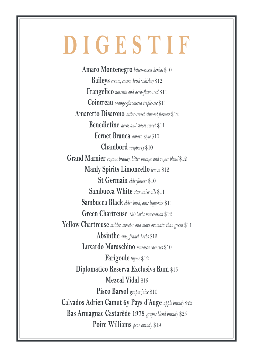### **DIGESTIF**

**Amaro Montenegro** *bitter-sweet herbal* \$10 **Baileys** *cream, cocoa, Irish whiskey* \$12 **Frangelico** *noisette and herb-flavoured* \$11 **Cointreau** *orange-flavoured triple-sec* \$11 **Amaretto Disarono** *bitter-sweet almond flavour* \$12 **Benedictine** *herbs and spices sweet* \$11 **Fernet Branca** *amaro-style* \$10 **Chambord** *raspberry* \$10 **Grand Marnier** *cognac brandy, bitter orange and sugar blend* \$12 **Manly Spirits Limoncello** *lemon* \$12 **St Germain** *elderflower* \$10 **Sambucca White** *star anise oils* \$11 **Sambucca Black** *elder bush, anis liquorice* \$11 **Green Chartreuse** *130 herbs maceration* \$12 **Yellow Chartreuse** *milder, sweeter and more aromatic than green* \$11 **Absinthe** *anis, fennel, herbs* \$12 **Luxardo Maraschino** *marasca cherries* \$10 **Farigoule** *thyme* \$12 **Diplomatico Reserva Exclusiva Rum** \$15 **Mezcal Vidal** \$15 **Pisco Barsol** *grapes juice* \$10 **Calvados Adrien Camut 6y Pays d'Auge** *apple brandy* \$25 **Bas Armagnac Castarède 1978** *grapes blend brandy* \$25 **Poire Williams** *pear brandy* \$19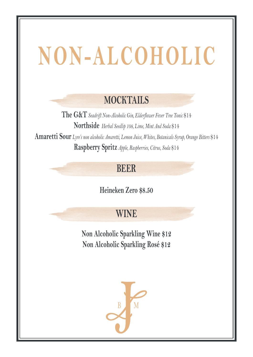## **NON-ALCOHOLIC**

### **MOCKTAILS**

**The G&T** *Seadrift Non-Alcoholic Gin, Elderflower Fever Tree Tonic* \$14 **Northside** *Herbal Seedlip 108, Lime, Mint And Soda* \$14 **Amaretti Sour** *Lyre's non alcoholic Amaretti, Lemon Juice, Whites, Botanicals Syrup, Orange Bitters* \$14 **Raspberry Spritz** *Apple, Raspberries, Citrus, Soda* \$14

### **BEER**

**Heineken Zero \$8.50**

#### **WINE**

**Non Alcoholic Sparkling Wine \$12 Non Alcoholic Sparkling Rosé \$12**